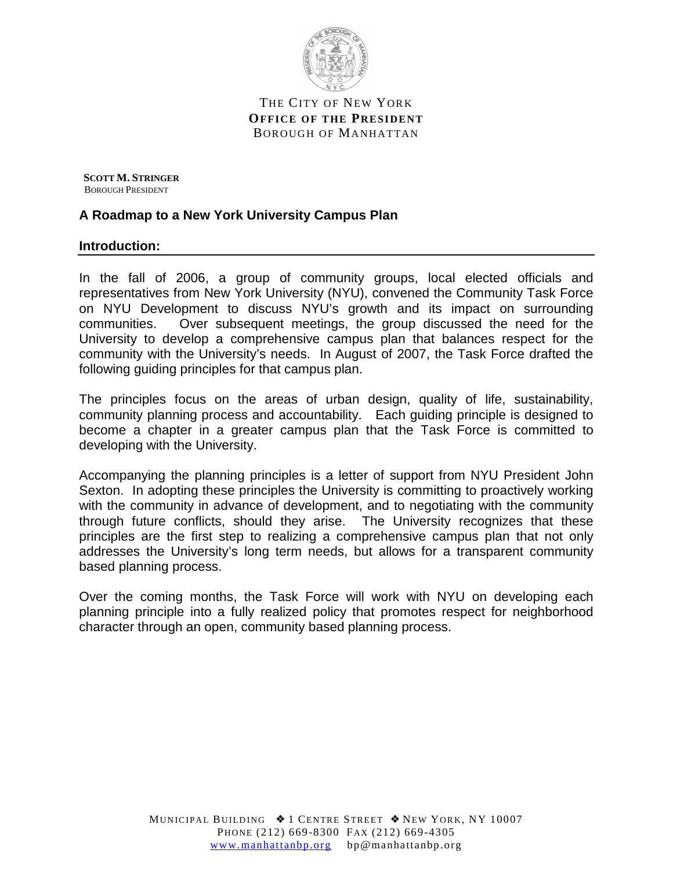

THE CITY OF NEW YORK **OFFICE OF THE PRE SIDENT** BOROUGH OF MANHATTAN

 **SCOTT M. STRINGER** BOROUGH PRESIDENT

### **A Roadmap to a New York University Campus Plan**

#### **Introduction:**

In the fall of 2006, a group of community groups, local elected officials and representatives from New York University (NYU), convened the Community Task Force on NYU Development to discuss NYU's growth and its impact on surrounding communities. Over subsequent meetings, the group discussed the need for the University to develop a comprehensive campus plan that balances respect for the community with the University's needs. In August of 2007, the Task Force drafted the following guiding principles for that campus plan.

The principles focus on the areas of urban design, quality of life, sustainability, community planning process and accountability. Each guiding principle is designed to become a chapter in a greater campus plan that the Task Force is committed to developing with the University.

Accompanying the planning principles is a letter of support from NYU President John Sexton. In adopting these principles the University is committing to proactively working with the community in advance of development, and to negotiating with the community through future conflicts, should they arise. The University recognizes that these principles are the first step to realizing a comprehensive campus plan that not only addresses the University's long term needs, but allows for a transparent community based planning process.

Over the coming months, the Task Force will work with NYU on developing each planning principle into a fully realized policy that promotes respect for neighborhood character through an open, community based planning process.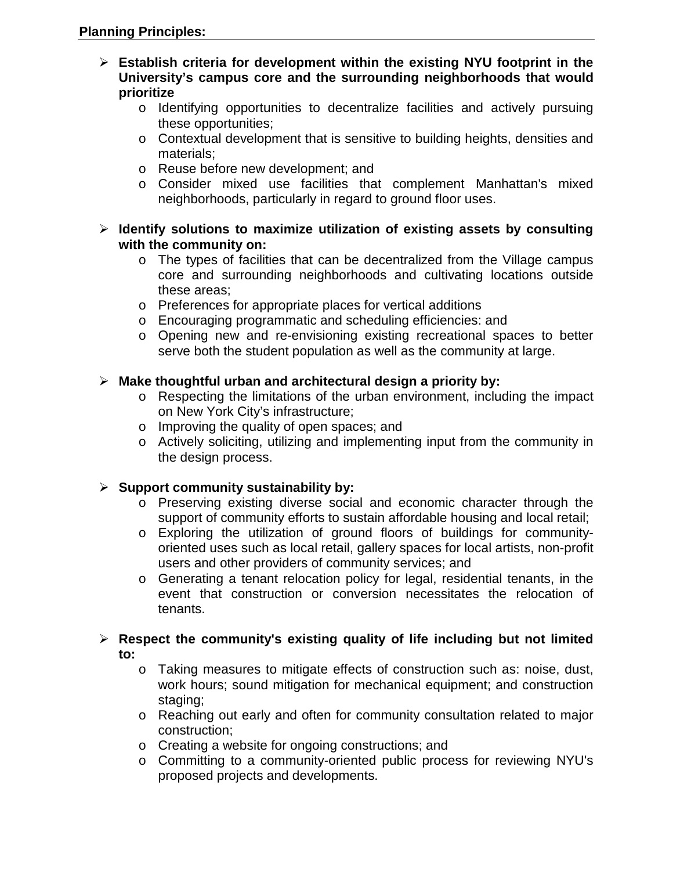- **Establish criteria for development within the existing NYU footprint in the University's campus core and the surrounding neighborhoods that would prioritize** 
	- o Identifying opportunities to decentralize facilities and actively pursuing these opportunities;
	- o Contextual development that is sensitive to building heights, densities and materials;
	- o Reuse before new development; and
	- o Consider mixed use facilities that complement Manhattan's mixed neighborhoods, particularly in regard to ground floor uses.
- **Identify solutions to maximize utilization of existing assets by consulting with the community on:** 
	- o The types of facilities that can be decentralized from the Village campus core and surrounding neighborhoods and cultivating locations outside these areas;
	- o Preferences for appropriate places for vertical additions
	- o Encouraging programmatic and scheduling efficiencies: and
	- o Opening new and re-envisioning existing recreational spaces to better serve both the student population as well as the community at large.

# **Make thoughtful urban and architectural design a priority by:**

- $\circ$  Respecting the limitations of the urban environment, including the impact on New York City's infrastructure;
- o Improving the quality of open spaces; and
- o Actively soliciting, utilizing and implementing input from the community in the design process.

# **Support community sustainability by:**

- o Preserving existing diverse social and economic character through the support of community efforts to sustain affordable housing and local retail;
- o Exploring the utilization of ground floors of buildings for communityoriented uses such as local retail, gallery spaces for local artists, non-profit users and other providers of community services; and
- o Generating a tenant relocation policy for legal, residential tenants, in the event that construction or conversion necessitates the relocation of tenants.

### **Respect the community's existing quality of life including but not limited to:**

- o Taking measures to mitigate effects of construction such as: noise, dust, work hours; sound mitigation for mechanical equipment; and construction staging;
- o Reaching out early and often for community consultation related to major construction;
- o Creating a website for ongoing constructions; and
- o Committing to a community-oriented public process for reviewing NYU's proposed projects and developments.